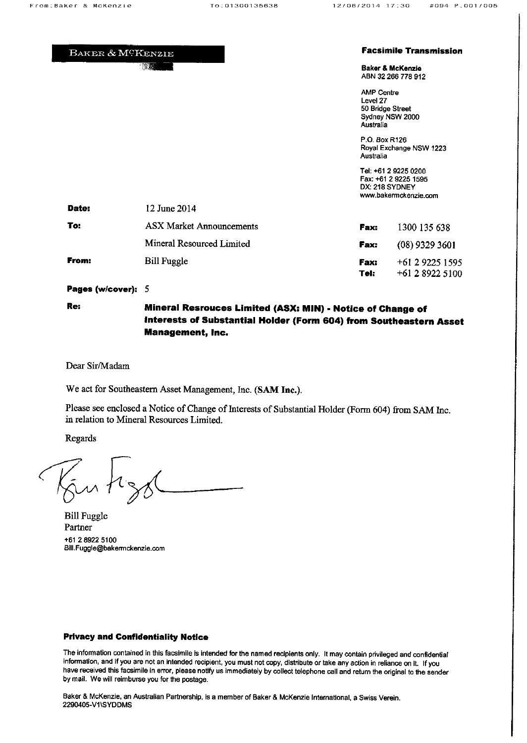|       | BAKER & MCKENZIE                |                                                                | <b>Facsimile Transmission</b>                                                           |
|-------|---------------------------------|----------------------------------------------------------------|-----------------------------------------------------------------------------------------|
|       | "游戏"                            |                                                                | <b>Baker &amp; McKenzie</b><br>ABN 32 266 778 912                                       |
|       |                                 | <b>AMP Centre</b><br>Level 27<br>50 Bridge Street<br>Australia | Sydney NSW 2000                                                                         |
|       |                                 | P.O. Box R126<br>Australia                                     | Royal Exchange NSW 1223                                                                 |
|       |                                 |                                                                | Tel: +61 2 9225 0200<br>Fax: +61 2 9225 1595<br>DX: 218 SYDNEY<br>www.bakermckenzie.com |
| Date: | 12 June 2014                    |                                                                |                                                                                         |
| To:   | <b>ASX Market Announcements</b> | Fax:                                                           | 1300 135 638                                                                            |
|       | Mineral Resourced Limited       | Fax:                                                           | $(08)$ 9329 3601                                                                        |
| From: | <b>Bill Fuggle</b>              | Fax:<br>Tel:                                                   | +61 2 9225 1595<br>+61 2 8922 5100                                                      |

Pages (w/cover): 5

## Mineral Resrouces Limited (ASX: MIN) - Notice of Change of Interests of Substantial Holder (Form 604) from Southeastern Asset **Management, Inc.**

Dear Sir/Madam

We act for Southeastern Asset Management, Inc. (SAM Inc.).

Please see enclosed a Notice of Change of Interests of Substantial Holder (Form 604) from SAM Inc. in relation to Mineral Resources Limited.

Regards

Re:

**Bill Fuggle** Partner +61 2 8922 5100 Bill.Fuggle@bakermckenzie.com

## **Privacy and Confidentiality Notice**

The information contained in this facsimile is intended for the named recipients only. It may contain privileged and confidential information, and if you are not an intended recipient, you must not copy, distribute or take any action in reliance on it. If you have received this facsimile in error, please notify us immediately by collect telephone call and return the original to the sender by mail. We will reimburse you for the postage.

Baker & McKenzie, an Australian Partnership, is a member of Baker & McKenzie International, a Swiss Verein. 2290405-V1\SYDDMS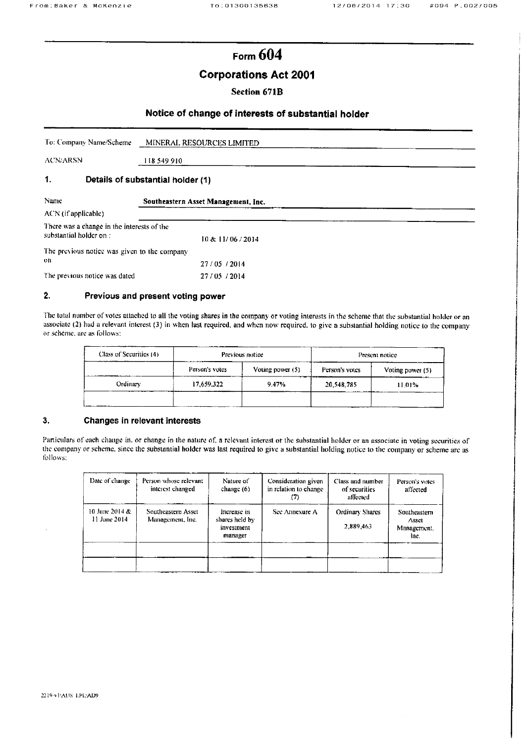# Form  $604$

## **Corporations Act 2001**

## **Section 671B**

### Notice of change of interests of substantial holder

| To: Company Name/Scheme MINERAL RESOURCES LIMITED |  |
|---------------------------------------------------|--|
|                                                   |  |

**ACN/ARSN** 

118 549 910

#### $\mathbf{1}$ . Details of substantial holder (1)

| Name                                                                 | Southeastern Asset Management, Inc. |  |
|----------------------------------------------------------------------|-------------------------------------|--|
| ACN (if applicable)                                                  |                                     |  |
| There was a change in the interests of the<br>substantial holder on: | 10 & 11/06 / 2014                   |  |
| The previous notice was given to the company<br>on.                  | 27/05/2014                          |  |
| The previous notice was dated                                        | 27/05/2014                          |  |

#### $2.$ Previous and present voting power

The total number of votes attached to all the voting shares in the company or voting interests in the scheme that the substantial holder or an associate (2) had a relevant interest (3) in when last required, and when now required, to give a substantial holding notice to the company or scheme, are as follows:

| Class of Securities (4) |                | Previous notice  | Present notice |                  |  |
|-------------------------|----------------|------------------|----------------|------------------|--|
|                         | Person's votes | Voting power (5) | Person's votes | Voting power (5) |  |
| Ordinary                | 17,659,322     | 9.47%            | 20.548.785     | 11.01%           |  |
|                         |                |                  |                |                  |  |

#### 3, Changes in relevant interests

Particulars of each change in, or change in the nature of, a relevant interest or the substantial holder or an associate in voting securities of the company or scheme, since the substantial holder was last required to give a substantial holding notice to the company or scheme are as follows:

| Date of change                 | Person whose relevant<br>interest changed | Nature of<br>change $(6)$                              | Consideration given<br>in relation to change<br>(7) | Class and number<br>of securities<br>affected | Person's votes<br>affected                   |
|--------------------------------|-------------------------------------------|--------------------------------------------------------|-----------------------------------------------------|-----------------------------------------------|----------------------------------------------|
| 10 June 2014 &<br>11 June 2014 | Southeastern Asset<br>Management, Inc.    | Increase in<br>shares held by<br>investment<br>manager | See Annexure A                                      | Ordinary Shares<br>2,889,463                  | Southeastern<br>Asset<br>Management,<br>Inc. |
|                                |                                           |                                                        |                                                     |                                               |                                              |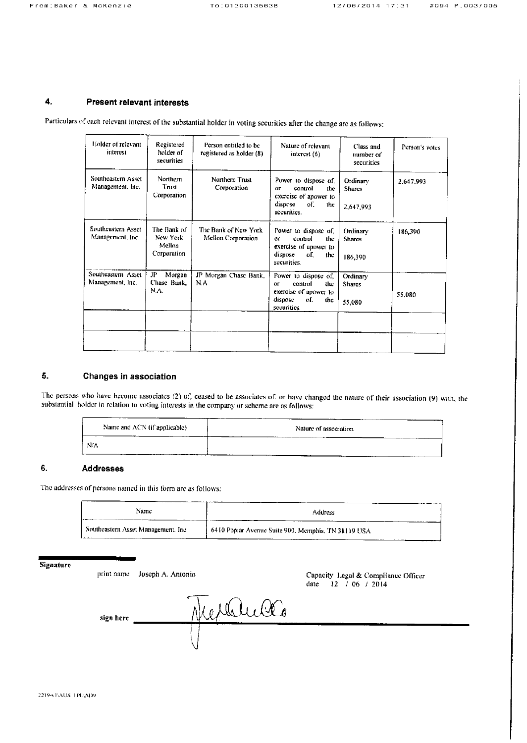#### $\ddot{a}$ . **Present relevant interests**

Particulars of each relevant interest of the substantial holder in voting securities after the change are as follows:

| Holder of relevant<br>interest         | Registered<br>holder of<br>securities            | Person entitled to be<br>registered as holder (8) | Nature of relevant<br>interest (6)                                                                            | Class and<br>number of<br>securities | Person's votes |
|----------------------------------------|--------------------------------------------------|---------------------------------------------------|---------------------------------------------------------------------------------------------------------------|--------------------------------------|----------------|
| Southeastern Asset<br>Management, Inc. | Northern<br>Trust<br>Corporation                 | Northern Trust<br>Corporation                     | Power to dispose of<br>control<br>the<br>OΓ<br>exercise of apower to<br>dispose<br>of.<br>the<br>securities.  | Ordinary.<br>Shares<br>2,647,993     | 2.647,993      |
| Southeastern Asset<br>Management, Inc. | The Bank of<br>New York<br>Mellon<br>Corporation | The Bank of New York<br>Mellon Corporation        | Power to dispose of,<br>control<br>the<br>or<br>exercise of apower to<br>dispose<br>oſ.<br>the<br>securities. | Ordinary<br>Shares<br>186,390        | 186,390        |
| Southeastern Asset<br>Management, Inc. | JP<br>Morgan<br>Chase Bank.<br>N.A.              | JP Morgan Chase Bank,<br>N.A                      | Power to dispose of,<br>control<br>тие<br>ОF<br>exercise of apower to<br>dispose<br>of.<br>the<br>securities. | Ordinary<br><b>Shares</b><br>55.080  | 55.080         |
|                                        |                                                  |                                                   |                                                                                                               |                                      |                |

#### $5.$ **Changes in association**

The persons who have become associates (2) of, ceased to be associates of, or have changed the nature of their association (9) with, the substantial holder in relation to voting interests in the company or scheme are as follows:

| Name and ACN (if applicable) | Nature of association |
|------------------------------|-----------------------|
| N/A                          |                       |

#### 6. **Addresses**

The addresses of persons named in this form are as follows:

| Name                                | <b>Address</b>                                      |
|-------------------------------------|-----------------------------------------------------|
| Southeastern Asset Management, Inc. | 6410 Poplar Avenue Suite 900, Memphis, TN 38119 USA |

| <b>Signature</b> | print name | Joseph A. Antonio                     | Capacity Legal & Compliance Officer<br>12 / 06 / 2014<br>date. |
|------------------|------------|---------------------------------------|----------------------------------------------------------------|
|                  | sign here  | $\bigcirc \!\!\!\! \bigcirc_{\alpha}$ |                                                                |
|                  |            |                                       |                                                                |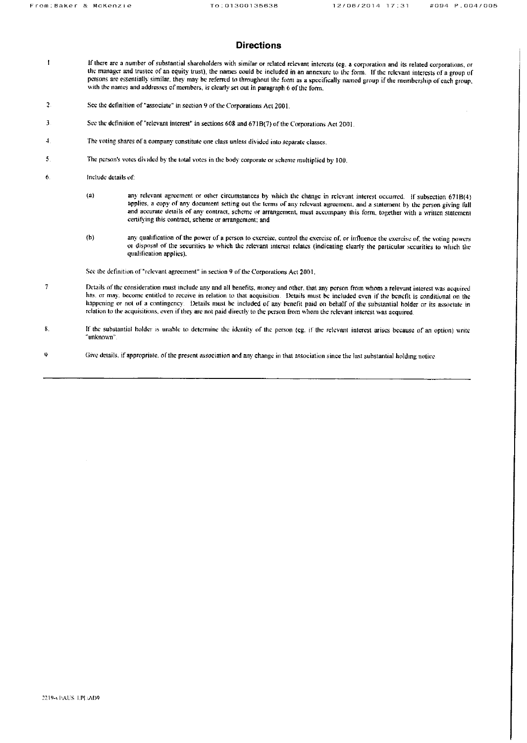### **Directions**

- If there are a number of substantial shareholders with similar or related relevant interests (eg. a corporation and its related corporations, or  $\mathbf{I}$ the manager and trustee of an equity trust), the names could be included in an annexure to the form. If the relevant interests of a group of persons are essentially similar, they may be referred to throughout the form as a specifically named group if the membership of cach group, with the names and addresses of members, is clearly set out in paragraph 6 of the form.
- $\overline{2}$ See the definition of "associate" in section 9 of the Corporations Act 2001.
- 3 See the definition of "relevant interest" in sections 608 and 671B(7) of the Corporations Act 2001.
- $\mathbf{1}$ The voting shares of a company constitute one class unless divided into separate classes.
- The person's votes divided by the total votes in the body corporate or scheme multiplied by 100. 5
- 6 Include details of
	- $\left( a\right)$ any relevant agreement or other circumstances by which the change in relevant interest occurred. If subsection 671B(4) applies, a copy of any document setting out the terms of any relevant agreement, and a statement by the person giving full and accurate details of any contract, scheme or arrangement, must accompany this form, together with a written statement certifying this contract, scheme or arrangement; and
	- $(b)$ any qualification of the power of a person to exercise, control the exercise of, or influence the exercise of, the voting powers or disposal of the securities to which the relevant interest relates (indicating clearly the particular securities to which the qualification applies).

See the definition of "relevant agreement" in section 9 of the Corporations Act 2001.

- -7 Details of the consideration must include any and all benefits, money and other, that any person from whom a relevant interest was acquired has, or may, become entitled to receive in relation to that acquisition. Details must be included even if the benefit is conditional on the happening or not of a contingency. Details must be included of any benefit paid on behalf of the substantial holder or its associate in relation to the acquisitions, even if they are not paid directly to the person from whom the relevant interest was acquired.
- $\bf{8}$ If the substantial holder is unable to determine the identity of the person (eg. if the relevant interest arises because of an option) write "unknown"
- Give details, if appropriate, of the present association and any change in that association since the last substantial holding notice